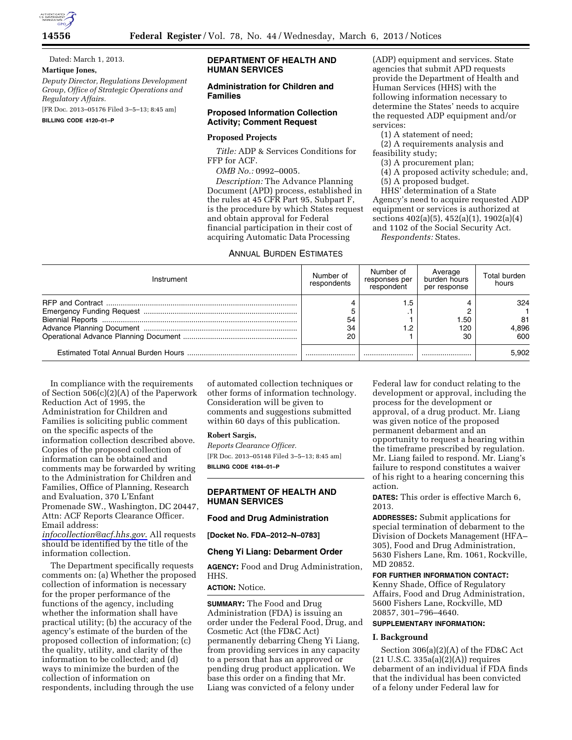

### Dated: March 1, 2013.

### **Martique Jones,**

*Deputy Director, Regulations Development Group, Office of Strategic Operations and Regulatory Affairs.* 

[FR Doc. 2013–05176 Filed 3–5–13; 8:45 am]

**BILLING CODE 4120–01–P** 

# **DEPARTMENT OF HEALTH AND HUMAN SERVICES**

## **Administration for Children and Families**

# **Proposed Information Collection Activity; Comment Request**

### **Proposed Projects**

*Title:* ADP & Services Conditions for FFP for ACF.

*OMB No.:* 0992–0005.

*Description:* The Advance Planning Document (APD) process, established in the rules at 45 CFR Part 95, Subpart F, is the procedure by which States request and obtain approval for Federal financial participation in their cost of acquiring Automatic Data Processing

## ANNUAL BURDEN ESTIMATES

(ADP) equipment and services. State agencies that submit APD requests provide the Department of Health and Human Services (HHS) with the following information necessary to determine the States' needs to acquire the requested ADP equipment and/or services:

(1) A statement of need;

(2) A requirements analysis and feasibility study;

(3) A procurement plan;

(4) A proposed activity schedule; and,

(5) A proposed budget.

HHS' determination of a State Agency's need to acquire requested ADP equipment or services is authorized at sections 402(a)(5), 452(a)(1), 1902(a)(4) and 1102 of the Social Security Act.

*Respondents:* States.

| Instrument | Number of<br>respondents | Number of<br>responses per<br>respondent | Average<br>burden hours<br>per response | Total burden<br>hours     |
|------------|--------------------------|------------------------------------------|-----------------------------------------|---------------------------|
|            | 54<br>34<br>20           | . .5<br>. .<br>∣.2                       | .50<br>120<br>30                        | 324<br>81<br>4.896<br>600 |
|            |                          |                                          |                                         | 5.902                     |

In compliance with the requirements of Section 506(c)(2)(A) of the Paperwork Reduction Act of 1995, the Administration for Children and Families is soliciting public comment on the specific aspects of the information collection described above. Copies of the proposed collection of information can be obtained and comments may be forwarded by writing to the Administration for Children and Families, Office of Planning, Research and Evaluation, 370 L'Enfant Promenade SW., Washington, DC 20447, Attn: ACF Reports Clearance Officer. Email address:

*[infocollection@acf.hhs.gov](mailto:infocollection@acf.hhs.gov)*. All requests should be identified by the title of the information collection.

The Department specifically requests comments on: (a) Whether the proposed collection of information is necessary for the proper performance of the functions of the agency, including whether the information shall have practical utility; (b) the accuracy of the agency's estimate of the burden of the proposed collection of information; (c) the quality, utility, and clarity of the information to be collected; and (d) ways to minimize the burden of the collection of information on respondents, including through the use

of automated collection techniques or other forms of information technology. Consideration will be given to comments and suggestions submitted within 60 days of this publication.

#### **Robert Sargis,**

*Reports Clearance Officer.*  [FR Doc. 2013–05148 Filed 3–5–13; 8:45 am] **BILLING CODE 4184–01–P** 

### **DEPARTMENT OF HEALTH AND HUMAN SERVICES**

### **Food and Drug Administration**

**[Docket No. FDA–2012–N–0783]** 

### **Cheng Yi Liang: Debarment Order**

**AGENCY:** Food and Drug Administration, HHS.

#### **ACTION:** Notice.

**SUMMARY:** The Food and Drug Administration (FDA) is issuing an order under the Federal Food, Drug, and Cosmetic Act (the FD&C Act) permanently debarring Cheng Yi Liang, from providing services in any capacity to a person that has an approved or pending drug product application. We base this order on a finding that Mr. Liang was convicted of a felony under

Federal law for conduct relating to the development or approval, including the process for the development or approval, of a drug product. Mr. Liang was given notice of the proposed permanent debarment and an opportunity to request a hearing within the timeframe prescribed by regulation. Mr. Liang failed to respond. Mr. Liang's failure to respond constitutes a waiver of his right to a hearing concerning this action.

**DATES:** This order is effective March 6, 2013.

**ADDRESSES:** Submit applications for special termination of debarment to the Division of Dockets Management (HFA– 305), Food and Drug Administration, 5630 Fishers Lane, Rm. 1061, Rockville, MD 20852.

#### **FOR FURTHER INFORMATION CONTACT:**  Kenny Shade, Office of Regulatory

Affairs, Food and Drug Administration, 5600 Fishers Lane, Rockville, MD 20857, 301–796–4640.

# **SUPPLEMENTARY INFORMATION:**

# **I. Background**

Section 306(a)(2)(A) of the FD&C Act  $(21 U.S.C. 335a(a)(2)(A))$  requires debarment of an individual if FDA finds that the individual has been convicted of a felony under Federal law for